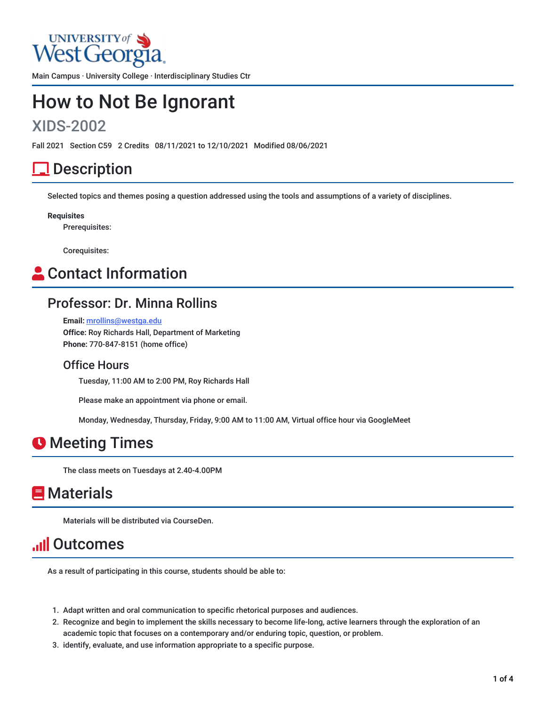

Main Campus · University College · Interdisciplinary Studies Ctr

# How to Not Be Ignorant

# XIDS-2002

Fall 2021 Section C59 2 Credits 08/11/2021 to 12/10/2021 Modified 08/06/2021

# **Description**

Selected topics and themes posing a question addressed using the tools and assumptions of a variety of disciplines.

**Requisites**

Prerequisites:

Corequisites:

# **Contact Information**

#### Professor: Dr. Minna Rollins

**Email:** [mrollins@westga.edu](mailto:mrollins@westga.edu) **Office:** Roy Richards Hall, Department of Marketing **Phone:** 770-847-8151 (home office)

#### Office Hours

Tuesday, 11:00 AM to 2:00 PM, Roy Richards Hall

Please make an appointment via phone or email.

Monday, Wednesday, Thursday, Friday, 9:00 AM to 11:00 AM, Virtual office hour via GoogleMeet

# **O** Meeting Times

The class meets on Tuesdays at 2.40-4.00PM

# **Materials**

Materials will be distributed via CourseDen.

# **Ill Outcomes**

As a result of participating in this course, students should be able to:

- 1. Adapt written and oral communication to specific rhetorical purposes and audiences.
- 2. Recognize and begin to implement the skills necessary to become life-long, active learners through the exploration of an academic topic that focuses on a contemporary and/or enduring topic, question, or problem.
- 3. identify, evaluate, and use information appropriate to a specific purpose.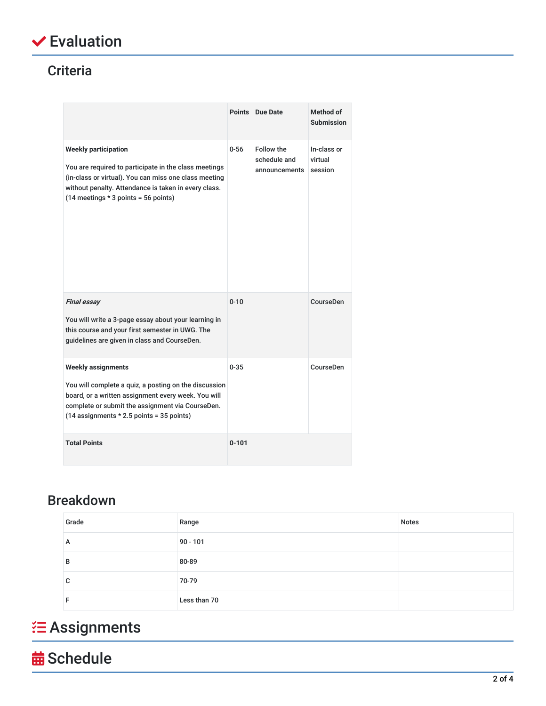

# **Criteria**

|                                                                                                                                                                                                                                                   | <b>Points</b> | Due Date                                           | Method of<br>Submission           |
|---------------------------------------------------------------------------------------------------------------------------------------------------------------------------------------------------------------------------------------------------|---------------|----------------------------------------------------|-----------------------------------|
| <b>Weekly participation</b><br>You are required to participate in the class meetings<br>(in-class or virtual). You can miss one class meeting<br>without penalty. Attendance is taken in every class.<br>$(14$ meetings $*$ 3 points = 56 points) | $0 - 56$      | <b>Follow the</b><br>schedule and<br>announcements | In-class or<br>virtual<br>session |
| <b>Final essay</b><br>You will write a 3-page essay about your learning in<br>this course and your first semester in UWG. The<br>guidelines are given in class and CourseDen.                                                                     | $0 - 10$      |                                                    | CourseDen                         |
| <b>Weekly assignments</b><br>You will complete a quiz, a posting on the discussion<br>board, or a written assignment every week. You will<br>complete or submit the assignment via CourseDen.<br>$(14$ assignments $*$ 2.5 points = 35 points)    | $0 - 35$      |                                                    | CourseDen                         |
| <b>Total Points</b>                                                                                                                                                                                                                               | $0 - 101$     |                                                    |                                   |

# Breakdown

| Grade | Range        | <b>Notes</b> |
|-------|--------------|--------------|
| A     | $90 - 101$   |              |
| в     | 80-89        |              |
| C     | 70-79        |              |
|       | Less than 70 |              |

# **'** Assignments

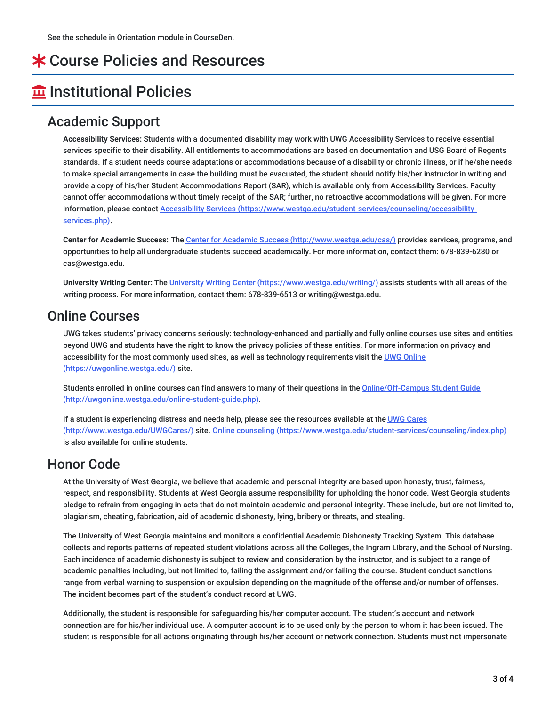# \* Course Policies and Resources

# **Institutional Policies**

### Academic Support

**Accessibility Services:** Students with a documented disability may work with UWG Accessibility Services to receive essential services specific to their disability. All entitlements to accommodations are based on documentation and USG Board of Regents standards. If a student needs course adaptations or accommodations because of a disability or chronic illness, or if he/she needs to make special arrangements in case the building must be evacuated, the student should notify his/her instructor in writing and provide a copy of his/her Student Accommodations Report (SAR), which is available only from Accessibility Services. Faculty cannot offer accommodations without timely receipt of the SAR; further, no retroactive accommodations will be given. For more information, please contact Accessibility Services [\(https://www.westga.edu/student-services/counseling/accessibility](https://www.westga.edu/student-services/counseling/accessibility-services.php)services.php).

**Center for Academic Success:** The Center for Academic Success [\(http://www.westga.edu/cas/\)](http://www.westga.edu/cas/) provides services, programs, and opportunities to help all undergraduate students succeed academically. For more information, contact them: 678-839-6280 or cas@westga.edu.

**University Writing Center:** The University Writing Center [\(https://www.westga.edu/writing/\)](https://www.westga.edu/writing/) assists students with all areas of the writing process. For more information, contact them: 678-839-6513 or writing@westga.edu.

### Online Courses

UWG takes students' privacy concerns seriously: technology-enhanced and partially and fully online courses use sites and entities beyond UWG and students have the right to know the privacy policies of these entities. For more information on privacy and accessibility for the most commonly used sites, as well as technology requirements visit the UWG Online [\(https://uwgonline.westga.edu/\)](https://uwgonline.westga.edu/) site.

Students enrolled in online courses can find answers to many of their questions in the **Online/Off-Campus Student Guide** [\(http://uwgonline.westga.edu/online-student-guide.php\).](http://uwgonline.westga.edu/online-student-guide.php)

If a student is experiencing distress and needs help, please see the resources available at the UWG Cares (http://www.westga.edu/UWGCares/) site. Online counseling [\(https://www.westga.edu/student-services](http://www.westga.edu/UWGCares/)[/counseling/index.php\)](https://www.westga.edu/student-services/counseling/index.php) is also available for online students.

### Honor Code

At the University of West Georgia, we believe that academic and personal integrity are based upon honesty, trust, fairness, respect, and responsibility. Students at West Georgia assume responsibility for upholding the honor code. West Georgia students pledge to refrain from engaging in acts that do not maintain academic and personal integrity. These include, but are not limited to, plagiarism, cheating, fabrication, aid of academic dishonesty, lying, bribery or threats, and stealing.

The University of West Georgia maintains and monitors a confidential Academic Dishonesty Tracking System. This database collects and reports patterns of repeated student violations across all the Colleges, the Ingram Library, and the School of Nursing. Each incidence of academic dishonesty is subject to review and consideration by the instructor, and is subject to a range of academic penalties including, but not limited to, failing the assignment and/or failing the course. Student conduct sanctions range from verbal warning to suspension or expulsion depending on the magnitude of the offense and/or number of offenses. The incident becomes part of the student's conduct record at UWG.

Additionally, the student is responsible for safeguarding his/her computer account. The student's account and network connection are for his/her individual use. A computer account is to be used only by the person to whom it has been issued. The student is responsible for all actions originating through his/her account or network connection. Students must not impersonate